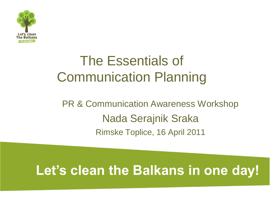

# The Essentials of Communication Planning

#### PR & Communication Awareness Workshop Nada Serajnik Sraka Rimske Toplice, 16 April 2011

## **Let's clean the Balkans in one day!**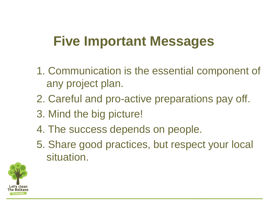## **Five Important Messages**

- 1. Communication is the essential component of any project plan.
- 2. Careful and pro-active preparations pay off.
- 3. Mind the big picture!
- 4. The success depends on people.
- 5. Share good practices, but respect your local situation.

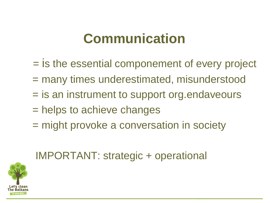## **Communication**

- = is the essential componement of every project
- = many times underestimated, misunderstood
- = is an instrument to support org.endaveours
- = helps to achieve changes
- = might provoke a conversation in society

#### IMPORTANT: strategic + operational

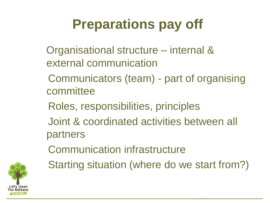# **Preparations pay off**

- Organisational structure internal & external communication
- Communicators (team) part of organising committee
- Roles, responsibilities, principles
- Joint & coordinated activities between all partners
- Communication infrastructure



Starting situation (where do we start from?)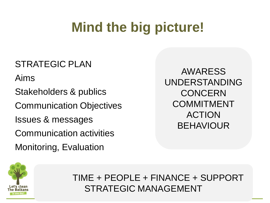# **Mind the big picture!**

#### TRATEGIC PLAN POSTRATEGIC PLAN STRATEGIC PLAN

Aims

Stakeholders & publics

Communication Objectiv<br>Leones 8 messes vee Communication Objectives

suco a most<br>Promunicatio Issues & messages

**Monitoring, Evaluation** communication activities

AWARESS UNDERSTANDING **CONCERN** COMMITMENT ACTION BEHAVIOUR



TIME + PEOPLE + FINANCE + SUPPORT STRATEGIC MANAGEMENT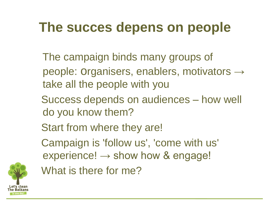# **The succes depens on people**

- The campaign binds many groups of people: Organisers, enablers, motivators  $\rightarrow$ take all the people with you
- Success depends on audiences how well do you know them?
- Start from where they are!
- Campaign is 'follow us', 'come with us' experience!  $\rightarrow$  show how & engage!



What is there for me?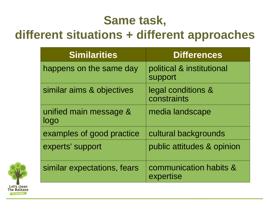### **Same task,**

#### **different situations + different approaches**

| <b>Similarities</b>            | <b>Differences</b>                   |
|--------------------------------|--------------------------------------|
| happens on the same day        | political & institutional<br>support |
| similar aims & objectives      | legal conditions &<br>constraints    |
| unified main message &<br>logo | media landscape                      |
| examples of good practice      | cultural backgrounds                 |
| experts' support               | public attitudes & opinion           |
| similar expectations, fears    | communication habits &<br>expertise  |

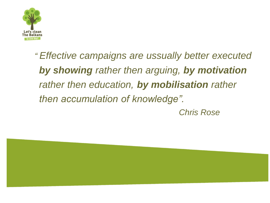

*" Effective campaigns are ussually better executed by showing rather then arguing, by motivation rather then education, by mobilisation rather then accumulation of knowledge".*

*Chris Rose*